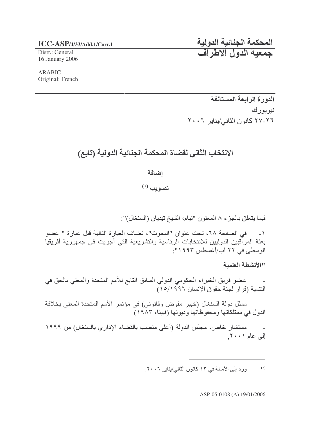## **ICC-ASP/4/33/Add.1/Corr.1** -

Distr.: General 16 January 2006

ARABIC Original: French

المحكمة الجنائية الدول جمعية الدول الأطراف

الدورة الرابعة المستأنفة نيويورك ٢٠-٢٧ كانون الثاني/يناير ٢٠٠٦

## الانتخاب الثاني لقضاة المحكمة الجنائية الدولية (تابع)

اضافة

 $^{(')}$  تصويب

فيما يتعلق بالجزء ٨ المعنون "تيام، الشيخ تيديان (السنغال)":

١ - في الصفحة ٦٨، تحت عنوان "البحوث"، تضاف العبارة التالية قبل عبارة " عضو ْ بِعِثَةَ الْمِرْاقِبِينِ الْدِوْلِيينِ لْلانتخاباتِ الرِئاسيةِ والتشريعيةِ الّتي أُجِرِيتِ في جمهورية أفريقيا الوسطى في ٢٢ أب/أغسطس ١٩٩٣:

االأنشطة العلمية

- عضو فريق الخبر اء الحكومي الدولي السابق التابع للأمم المتحدة والمعني بالحق في التنمية (قرار لجنة حقوق الإنسان ١٥/١٩٩٦)

ـ ممثل دولة السنغال (خبير مفوض وقانوني) في مؤتمر الأمم المتحدة المعني بخلافة الدول في ممتلكاتها ومحفوظاتها وديونها (فيينا، ١٩٨٣)

ـ مستشار خاص، مجلس الدولة (أعلى منصب بالقضاء الإداري بالسنغال) من ١٩٩٩ إلى عام ٢٠٠١.

> ورد إلى الأمانة في ١٣ كانون الثاني/يناير ٢٠٠٦.  $\left( \text{'}\right)$

> > ASP-05-0108 (A) 19/01/2006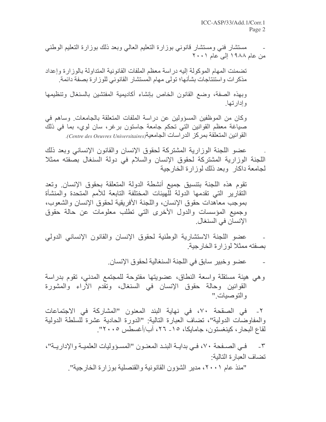مستشار فني ومستشار قانوني بوزارة التعليم العالمي وبعد ذلك بوزارة التعليم الوطنبي من عام ۱۹۸۸ إلى عام ۲۰۰۱

تضمنت المهام الموكولة إليه دراسة معظم الملفات القانونية المتداولة بالوزارة وإعداد مذكر ات واستنتاجات بشأنها؛ تولى مهام المستشار القانوني للوزارة بصفة دائمة.

وبهذه الصفة، وضع القانون الخاص بإنشاء أكاديمية المفتشين بالسنغال وتنظيمها و اِدار تھا۔

وكان من الموظفين المسؤولين عن دراسة الملفات المتعلقة بالجامعات وساهم في صياغة معظم القوانين التي تحكم جامعة جاستون برغر، سان لوي، بما في ذلك القوانين المتعلقة بمركز الدر اسات الجامعية(Centre des Oeuvres Universitaires).

عضو اللجنة الوزارية المشتركة لحقوق الإنسان والقانون الإنساني وبعد ذلك اللجنة الوزارية المشتركة لحقوق الإنسان والسلام في دولة السنغال بصفته ممثلا لجامعة داكار وبعد ذلك لوزارة الخارجية

تقوم هذه اللجنة بنتسيق جميع أنشطة الدولة المتعلقة بحقوق الإنسان وتعد النقارير التي تقدمها الدولة للهيئات المختلفة التابعة للأمم المتحدة والمنشأة بموجب معاهدات حقوق الإنسان، واللجنة الأفريقية لحقوق الإنسان والشعوب، وجميع المؤسسات والدول الأخرى التى تطلب معلومات عن حالة حقوق الإنسان في السنغال.

عضو اللجنة الاستشارية الوطنية لحقوق الإنسان والقانون الإنساني الدولي بصفته ممثلا لوز ار ة الخار جية

عضو وخبير سابق في اللجنة السنغالية لحقوق الإنسان.

وهي هيئة مستقلة واسعة النطاق، عضويتها مفتوحة للمجتمع المدنى، تقوم بدراسة القوانين وحالة حقوق الإنسان في السنغال، وتقدم الأراء والمشورة و التو صيات "

في الصقحة ٧٠، في نهاية البند المعنون "المشاركة في الاجتماعات  $-\tau$ والمفاوضات الدولية"، تضاف العبارة التالية: "الدورة الحادية عشرة للسلطة الدولية لقاع البحار ، كينغستون، جامايكا، ١٥- ٢٦، أب/أغسطس ٢٠٠٥".

٣- فـي الصـفحة ٧٠، فـي بدايــة البنـد المعنــون "المســؤوليات العلميــة والإداريــة"، تضاف العبار ة التالية:

"منذ عام ٢٠٠١، مدير الشؤون القانونية والقنصلية بوز ار ة الخار جية".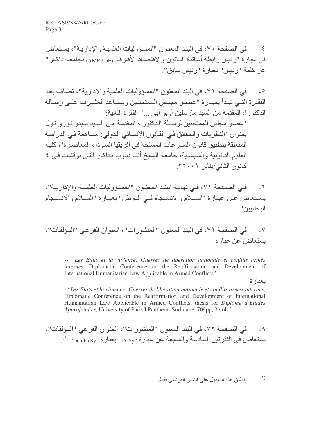٤ - في الصفحة ٧٠، في البند المعنون "المسؤوليات العلمية والإدارية"، يستعاض في عبار ة "رئيس ر ابطة أساتذة القانون والاقتصـاد الأفارقـة (AMEADE) بجامعـة داكـار " عن كلمة "رئيس" بعبارة "رئيس سابق".

في الصفحة ٧١، في البند المعنون "المسؤوليات العلمية والإدارية"، تضاف بعد  $-0$ الفقـرة التــي تبـدأ بعبــارة "عضــو مجلـس الممتحنــين ومســاعد المشــرف علــى رســالة الدكتور اه المقدمة من السيد مارسلين أوبو أبي ..." الفقرة التالية:

"عضو مجلس الممتحنين لرسـالـة الـدكتوراه المقدمـة مـن السـيد سـيدو نـورو تـول بعنوان 'النظريات والحقائق في القانون الإنساني الدولي: مساهمة في الدراسة المتعلقة بتطبيق قانون المناز عات المسلحة في أفريقيا السوداء المعاصـرة٬، كليـة العلوم القانونية والسياسية، جامعة الشيخ أنتـا ديـوب بـداكار التـي نوقشت فـي ٤ كانون الثاني/يناير ٢٠٠١".

ـي الصـفحة ٧١، فـي نـهايــة البنــد المعنــون "المسـؤوليات العلميــة والإداريــة"،  $-7$ يسـتعاض عـن عبــارة "الســلام والانســجام فــي الــوطن" بعبــارة "الســلام والانســجام الو طنبين"

في الصفحة ٧١، في البند المعنون "المنشور ات"، العنوان الفر عي "المؤلفات"،  $-<sup>V</sup>$ يستعاض عن عبارة

*-- "Les Etats et la violence: Guerres de libération nationale et conflits armés internes*, Diplomatic Conference on the Reaffirmation and Development of International Humanitarian Law Applicable in Armed Conflicts"

بعبارة

- "*Les Etats et la violence: Guerres de libération nationale et conflits armés internes*, Diplomatic Conference on the Reaffirmation and Development of International Humanitarian Law Applicable in Armed Conflicts, thesis for *Diplôme d'Etudes Approfondies,* University of Paris I Panthéon-Sorbonne, 709pp, 2 vols."

في الصفحة ٧٢، في البند المعنون "المنشور ات"، العنوان الفر عي "المؤلفات"،  $-\lambda$ يستعاض في الفقرتين السادسة والسابعة عن عبارة <sub>"D. Sy</sub>" بعبارة "Demba Sy").

 $(1)$ ينطبق هذه التعديل على النص الفرنسي فقط